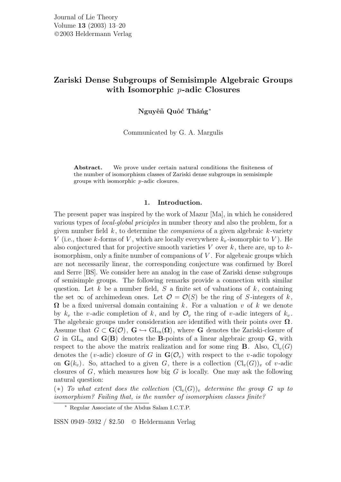# Zariski Dense Subgroups of Semisimple Algebraic Groups with Isomorphic *p*-adic Closures

Nguyên Quôc Thăng<sup>∗</sup>

Communicated by G. A. Margulis

Abstract. We prove under certain natural conditions the finiteness of the number of isomorphism classes of Zariski dense subgroups in semisimple groups with isomorphic p-adic closures.

### 1. Introduction.

The present paper was inspired by the work of Mazur [Ma], in which he considered various types of local-global priciples in number theory and also the problem, for a given number field  $k$ , to determine the *companions* of a given algebraic  $k$ -variety V (i.e., those k-forms of V, which are locally everywhere  $k_v$ -isomorphic to V). He also conjectured that for projective smooth varieties  $V$  over  $k$ , there are, up to  $k$ isomorphism, only a finite number of companions of  $V$ . For algebraic groups which are not necessarily linear, the corresponding conjecture was confirmed by Borel and Serre [BS]. We consider here an analog in the case of Zariski dense subgroups of semisimple groups. The following remarks provide a connection with similar question. Let k be a number field, S a finite set of valuations of  $k$ , containing the set  $\infty$  of archimedean ones. Let  $\mathcal{O} = \mathcal{O}(S)$  be the ring of S-integers of k,  $\Omega$  be a fixed universal domain containing k. For a valuation v of k we denote by  $k_v$  the v-adic completion of k, and by  $\mathcal{O}_v$  the ring of v-adic integers of  $k_v$ . The algebraic groups under consideration are identified with their points over  $\Omega$ . Assume that  $G \subset \mathbf{G}(\mathcal{O})$ ,  $\mathbf{G} \hookrightarrow \mathrm{GL}_n(\Omega)$ , where G denotes the Zariski-closure of G in  $GL_n$  and  $\mathbf{G}(\mathbf{B})$  denotes the **B**-points of a linear algebraic group  $\mathbf{G}$ , with respect to the above the matrix realization and for some ring **B**. Also,  $Cl_v(G)$ denotes the (*v*-adic) closure of G in  $\mathbf{G}(\mathcal{O}_v)$  with respect to the *v*-adic topology on  $\mathbf{G}(k_v)$ . So, attached to a given G, there is a collection  $(\mathrm{Cl}_v(G))_v$  of v-adic closures of  $G$ , which measures how big  $G$  is locally. One may ask the following natural question:

(\*) To what extent does the collection  $(Cl_v(G))_v$  determine the group G up to isomorphism? Failing that, is the number of isomorphism classes finite?

ISSN 0949–5932 / \$2.50 <sup>C</sup> Heldermann Verlag

<sup>∗</sup> Regular Associate of the Abdus Salam I.C.T.P.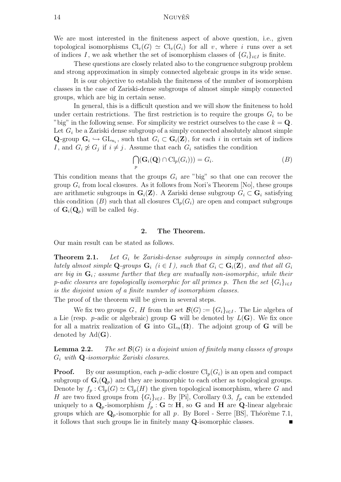# 14 NGUYÊÑ

We are most interested in the finiteness aspect of above question, i.e., given topological isomorphisms  $\text{Cl}_v(G) \simeq \text{Cl}_v(G_i)$  for all v, where i runs over a set of indices I, we ask whether the set of isomorphism classes of  $\{G_i\}_{i\in I}$  is finite.

These questions are closely related also to the congruence subgroup problem and strong approximation in simply connected algebraic groups in its wide sense.

It is our objective to establish the finiteness of the number of isomorphism classes in the case of Zariski-dense subgroups of almost simple simply connected groups, which are big in certain sense.

In general, this is a difficult question and we will show the finiteness to hold under certain restrictions. The first restriction is to require the groups  $G_i$  to be "big" in the following sense. For simplicity we restrict ourselves to the case  $k = Q$ . Let  $G_i$  be a Zariski dense subgroup of a simply connected absolutely almost simple Q-group  $\mathbf{G}_i \hookrightarrow \mathrm{GL}_{n_i}$ , such that  $G_i \subset \mathbf{G}_i(\mathbf{Z})$ , for each i in certain set of indices I, and  $G_i \not\simeq G_j$  if  $i \neq j$ . Assume that each  $G_i$  satisfies the condition

$$
\bigcap_{p} (\mathbf{G}_i(\mathbf{Q}) \cap \mathrm{Cl}_p(G_i))) = G_i.
$$
\n(B)

This condition means that the groups  $G_i$  are "big" so that one can recover the group  $G_i$  from local closures. As it follows from Nori's Theorem [No], these groups are arithmetic subgroups in  $\mathbf{G}_i(\mathbf{Z})$ . A Zariski dense subgroup  $G_i \subset \mathbf{G}_i$  satisfying this condition (B) such that all closures  $Cl_n(G_i)$  are open and compact subgroups of  $\mathbf{G}_i(\mathbf{Q}_p)$  will be called big.

#### 2. The Theorem.

Our main result can be stated as follows.

**Theorem 2.1.** Let  $G_i$  be Zariski-dense subgroups in simply connected absolutely almost simple Q-groups  $G_i$  ( $i \in I$ ), such that  $G_i \subset G_i(\mathbf{Z})$ , and that all  $G_i$ are big in  $G_i$ ; assume further that they are mutually non-isomorphic, while their p-adic closures are topologically isomorphic for all primes p. Then the set  ${G_i}_{i\in I}$ is the disjoint union of a finite number of isomorphism classes.

The proof of the theorem will be given in several steps.

We fix two groups G, H from the set  $\mathcal{B}(G) := \{G_i\}_{i \in I}$ . The Lie algebra of a Lie (resp. *p*-adic or algebraic) group **G** will be denoted by  $L(G)$ . We fix once for all a matrix realization of G into  $GL_n(\Omega)$ . The adjoint group of G will be denoted by  $Ad(G)$ .

**Lemma 2.2.** The set  $\mathcal{B}(G)$  is a disjoint union of finitely many classes of groups  $G_i$  with  $\mathbf Q$ -isomorphic Zariski closures.

**Proof.** By our assumption, each p-adic closure  $\text{Cl}_p(G_i)$  is an open and compact subgroup of  $\mathbf{G}_i(\mathbf{Q}_p)$  and they are isomorphic to each other as topological groups. Denote by  $f_p : Cl_p(G) \simeq Cl_p(H)$  the given topological isomorphism, where G and H are two fixed groups from  ${G_i}_{i \in I}$ . By [Pi], Corollary 0.3,  $f_p$  can be extended uniquely to a  $\mathbf{Q}_p$ -isomorphism  $\bar{f}_p : \mathbf{G} \simeq \mathbf{H}$ , so G and H are Q-linear algebraic groups which are  $\mathbf{Q}_p$ -isomorphic for all p. By Borel - Serre [BS], Théorème 7.1, it follows that such groups lie in finitely many Q-isomorphic classes.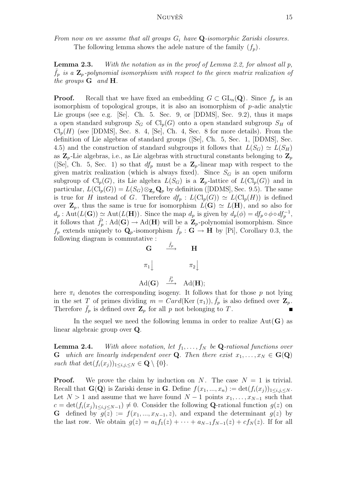From now on we assume that all groups  $G_i$  have  $\mathbf{Q}$ -isomorphic Zariski closures. The following lemma shows the adele nature of the family  $(f_p)$ .

Lemma 2.3. With the notation as in the proof of Lemma 2.2, for almost all p,  $\bar{f}_p$  is a  $\mathbf{Z}_p$ -polynomial isomorphism with respect to the given matrix realization of the groups  $\mathbf G$  and  $\mathbf H$ .

**Proof.** Recall that we have fixed an embedding  $G \subset GL_n(\mathbf{Q})$ . Since  $f_p$  is an isomorphism of topological groups, it is also an isomorphism of p-adic analytic Lie groups (see e.g. [Se]. Ch. 5. Sec. 9, or [DDMS], Sec. 9.2), thus it maps a open standard subgroup  $S_G$  of  $Cl_n(G)$  onto a open standard subgroup  $S_H$  of  $\text{Cl}_p(H)$  (see [DDMS], Sec. 8. 4, [Se], Ch. 4, Sec. 8 for more details). From the definition of Lie algebras of standard groups ([Se], Ch. 5, Sec. 1, [DDMS], Sec. 4.5) and the construction of standard subgroups it follows that  $L(S_G) \simeq L(S_H)$ as  $\mathbf{Z}_p$ -Lie algebras, i.e., as Lie algebras with structural constants belonging to  $\mathbf{Z}_p$ ([Se], Ch. 5, Sec. 1) so that  $df_p$  must be a  $\mathbb{Z}_p$ -linear map with respect to the given matrix realization (which is always fixed). Since  $S_G$  is an open uniform subgroup of  $\text{Cl}_p(G)$ , its Lie algebra  $L(S_G)$  is a  $\mathbb{Z}_p$ -lattice of  $L(\text{Cl}_p(G))$  and in particular,  $L(Cl_p(G)) = L(S_G) \otimes_{\mathbf{Z}_p} \mathbf{Q}_p$  by definition ([DDMS], Sec. 9.5). The same is true for H instead of G. Therefore  $df_p : L(\text{Cl}_p(G)) \simeq L(\text{Cl}_p(H))$  is defined over  $\mathbf{Z}_p$ , thus the same is true for isomorphism  $L(\mathbf{G}) \simeq L(\mathbf{H})$ , and so also for  $d_p: \mathrm{Aut}(L(\mathbf{G})) \simeq \mathrm{Aut}(L(\mathbf{H}))$ . Since the map  $d_p$  is given by  $d_p(\phi) = df_p \circ \phi \circ df_p^{-1}$ , it follows that  $\overline{f'_r}$  $\overline{p}'_p : \text{Ad}(\mathbf{G}) \to \text{Ad}(\mathbf{H})$  will be a  $\mathbf{Z}_p$ -polynomial isomorphism. Since  $f_p$  extends uniquely to  $\mathbf{Q}_p$ -isomorphism  $\bar{f}_p : \mathbf{G} \to \mathbf{H}$  by [Pi], Corollary 0.3, the following diagram is commutative :



here  $\pi_i$  denotes the corresponding isogeny. It follows that for those p not lying in the set T of primes dividing  $m = Card(Ker(\pi_1)), \bar{f}_p$  is also defined over  $\mathbf{Z}_p$ . Therefore  $\bar{f}_p$  is defined over  $\mathbf{Z}_p$  for all p not belonging to T.

In the sequel we need the following lemma in order to realize  $Aut(G)$  as linear algebraic group over Q.

**Lemma 2.4.** With above notation, let  $f_1, \ldots, f_N$  be **Q**-rational functions over **G** which are linearly independent over **Q**. Then there exist  $x_1, \ldots, x_N \in \mathbf{G}(\mathbf{Q})$ such that  $\det(f_i(x_j))_{1\leq i,j\leq N} \in \mathbf{Q} \setminus \{0\}.$ 

**Proof.** We prove the claim by induction on N. The case  $N = 1$  is trivial. Recall that  $\mathbf{G}(\mathbf{Q})$  is Zariski dense in G. Define  $f(x_1, ..., x_n) := \det(f_i(x_i))_{1 \leq i,j \leq N}$ . Let  $N > 1$  and assume that we have found  $N - 1$  points  $x_1, \ldots, x_{N-1}$  such that  $c = \det(f_i(x_j)_{1 \le i,j \le N-1}) \neq 0$ . Consider the following Q-rational function  $g(z)$  on G defined by  $g(z) := f(x_1, ..., x_{N-1}, z)$ , and expand the determinant  $g(z)$  by the last row. We obtain  $g(z) = a_1 f_1(z) + \cdots + a_{N-1} f_{N-1}(z) + c f_N(z)$ . If for all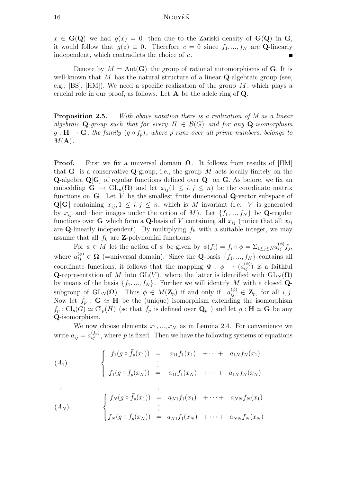$x \in \mathbf{G}(\mathbf{Q})$  we had  $g(x) = 0$ , then due to the Zariski density of  $\mathbf{G}(\mathbf{Q})$  in  $\mathbf{G}$ , it would follow that  $g(z) \equiv 0$ . Therefore  $c = 0$  since  $f_1, ..., f_N$  are Q-linearly independent, which contradicts the choice of  $c$ .

Denote by  $M = Aut(G)$  the group of rational automorphisms of G. It is well-known that M has the natural structure of a linear  $\mathbf Q$ -algebraic group (see, e.g., [BS], [HM]). We need a specific realization of the group  $M$ , which plays a crucial role in our proof, as follows. Let A be the adele ring of Q.

**Proposition 2.5.** With above notation there is a realization of M as a linear algebraic Q-group such that for every  $H \in \mathcal{B}(G)$  and for any Q-isomorphism  $g: \mathbf{H} \to \mathbf{G}$ , the family  $(g \circ f_p)$ , where p runs over all prime numbers, belongs to  $M(A)$ .

**Proof.** First we fix a universal domain  $\Omega$ . It follows from results of [HM] that **G** is a conservative **Q**-group, i.e., the group  $M$  acts locally finitely on the Q-algebra Q[G] of regular functions defined over Q on G. As before, we fix an embedding  $\mathbf{G} \hookrightarrow \mathrm{GL}_n(\Omega)$  and let  $x_{ii} (1 \leq i, j \leq n)$  be the coordinate matrix functions on  $G$ . Let V be the smallest finite dimensional  $Q$ -vector subspace of  ${\bf Q}[G]$  containing  $x_{ij}, 1 \le i, j \le n$ , which is M-invariant (i.e. V is generated by  $x_{ij}$  and their images under the action of M). Let  $\{f_1, ..., f_N\}$  be Q-regular functions over **G** which form a **Q**-basis of V containing all  $x_{ij}$  (notice that all  $x_{ij}$ are Q-linearly independent). By multiplying  $f_k$  with a suitable integer, we may assume that all  $f_k$  are **Z**-polynomial functions.

For  $\phi \in M$  let the action of  $\phi$  be given by  $\phi(f_i) = f_i \circ \phi = \sum_{1 \leq j \leq N} a_{ij}^{(\phi)} f_j$ where  $a_{ij}^{(\phi)} \in \Omega$  (=universal domain). Since the Q-basis  $\{f_1, ..., f_N\}$  contains all coordinate functions, it follows that the mapping  $\Phi : \phi \mapsto (a_{ij}^{(\phi)})$  is a faithful Q-representation of M into GL(V), where the latter is identified with  $GL_N(\Omega)$ by means of the basis  $\{f_1, ..., f_N\}$ . Further we will identify M with a closed Qsubgroup of  $\text{GL}_N(\Omega)$ . Thus  $\phi \in M(\mathbf{Z}_p)$  if and only if  $a_{ij}^{(\phi)} \in \mathbf{Z}_p$ , for all  $i, j$ . Now let  $\bar{f}_p$  :  $\mathbf{G} \simeq \mathbf{H}$  be the (unique) isomorphism extending the isomorphism  $f_p: Cl_p(G) \simeq Cl_p(H)$  (so that  $f_p$  is defined over  $\mathbf{Q}_p$ ) and let  $g: \mathbf{H} \simeq \mathbf{G}$  be any Q-isomorphism.

We now choose elements  $x_1, ..., x_N$  as in Lemma 2.4. For convenience we write  $a_{ij} = a_{ij}^{(\bar{f}_p)}$ , where p is fixed. Then we have the following systems of equations

$$
(A_1)
$$
\n
$$
\begin{cases}\nf_1(g \circ \bar{f}_p(x_1)) = a_{11}f_1(x_1) + \cdots + a_{1N}f_N(x_1) \\
\vdots \\
f_1(g \circ \bar{f}_p(x_N)) = a_{11}f_1(x_N) + \cdots + a_{1N}f_N(x_N) \\
\vdots \\
f_N(g \circ \bar{f}_p(x_1)) = a_{N1}f_1(x_1) + \cdots + a_{NN}f_N(x_1) \\
\vdots \\
f_N(g \circ \bar{f}_p(x_N)) = a_{N1}f_1(x_N) + \cdots + a_{NN}f_N(x_N)\n\end{cases}
$$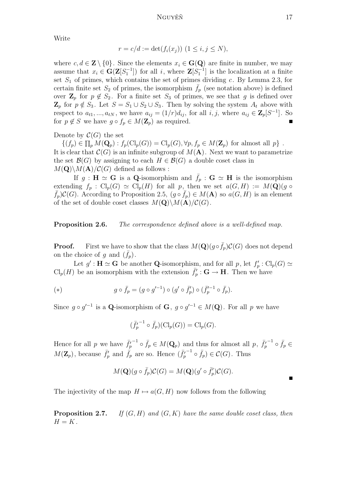Write

$$
r = c/d := \det(f_i(x_j)) \ (1 \le i, j \le N),
$$

where  $c, d \in \mathbf{Z} \setminus \{0\}$ . Since the elements  $x_i \in \mathbf{G}(\mathbf{Q})$  are finite in number, we may assume that  $x_i \in G(\mathbf{Z}[S_1^{-1}])$  for all i, where  $\mathbf{Z}[S_1^{-1}]$  is the localization at a finite set  $S_1$  of primes, which contains the set of primes dividing c. By Lemma 2.3, for certain finite set  $S_2$  of primes, the isomorphism  $f_p$  (see notation above) is defined over  $\mathbf{Z}_p$  for  $p \notin S_2$ . For a finite set  $S_3$  of primes, we see that g is defined over  $\mathbf{Z}_p$  for  $p \notin S_3$ . Let  $S = S_1 \cup S_2 \cup S_3$ . Then by solving the system  $A_t$  above with respect to  $a_{t1},...,a_{tN}$ , we have  $a_{ij} = (1/r)d_{ij}$ , for all  $i, j$ , where  $a_{ij} \in \mathbb{Z}_p[S^{-1}]$ . So for  $p \notin S$  we have  $g \circ f_p \in M(\mathbf{Z}_p)$  as required.

Denote by  $\mathcal{C}(G)$  the set

 $\{(f_p) \in \prod_p M(\mathbf{Q}_p) : f_p(\mathrm{Cl}_p(G)) = \mathrm{Cl}_p(G), \forall p, f_p \in M(\mathbf{Z}_p)$  for almost all  $p\}$ . It is clear that  $\mathcal{C}(G)$  is an infinite subgroup of  $M(\mathbf{A})$ . Next we want to parametrize the set  $\mathcal{B}(G)$  by assigning to each  $H \in \mathcal{B}(G)$  a double coset class in  $M(\mathbf{Q})\backslash M(\mathbf{A})/\mathcal{C}(G)$  defined as follows :

If  $g : H \simeq G$  is a Q-isomorphism and  $\bar{f}_p : G \simeq H$  is the isomorphism extending  $f_p : Cl_p(G) \simeq Cl_p(H)$  for all p, then we set  $a(G, H) := M(\mathbf{Q})(g \circ$  $\bar{f}_p(C(G))$ . According to Proposition 2.5,  $(g \circ \bar{f}_p) \in M(\mathbf{A})$  so  $a(G, H)$  is an element of the set of double coset classes  $M(\mathbf{Q})\backslash M(\mathbf{A})/\mathcal{C}(G)$ .

**Proposition 2.6.** The correspondence defined above is a well-defined map.

**Proof.** First we have to show that the class  $M(\mathbf{Q})(g \circ \bar{f}_p)\mathcal{C}(G)$  does not depend **Proof.** First we have to s<br>on the choice of g and  $(\bar{f}_p)$ .

Let  $g' : H \simeq G$  be another **Q**-isomorphism, and for all p, let  $f'_r$  $p'_{p} : \operatorname{Cl}_{p}(G) \simeq$  $\text{Cl}_p(H)$  be an isomorphism with the extension  $\bar{f}_t'$  $\overline{p'}_p : \mathbf{G} \to \mathbf{H}$ . Then we have

(\*) 
$$
g \circ \bar{f}_p = (g \circ g'^{-1}) \circ (g' \circ \bar{f}'_p) \circ (\bar{f}'_p^{-1} \circ \bar{f}_p).
$$

Since  $g \circ g'^{-1}$  is a Q-isomorphism of  $G, g \circ g'^{-1} \in M(Q)$ . For all p we have

$$
(\bar{f'_p}^{-1} \circ \bar{f_p})(\mathrm{Cl}_p(G)) = \mathrm{Cl}_p(G).
$$

Hence for all p we have  $\bar{f}_r^{\prime}$ p <sup>-1</sup>  $\circ$   $\bar{f}_p \in M(\mathbf{Q}_p)$  and thus for almost all p,  $\bar{f}_t^{\prime}$ p  $^{-1} \circ \bar{f}_p \in$  $M(\mathbf{Z}_p)$ , because  $\bar{f}'_p$  $\bar{f}_p$  and  $\bar{f}_p$  are so. Hence  $(\bar{f}_p')$ p  $\overline{f}_p \circ \overline{f}_p \in \mathcal{C}(G)$ . Thus

$$
M(\mathbf{Q})(g \circ \bar{f}_p)\mathcal{C}(G) = M(\mathbf{Q})(g' \circ \bar{f}'_p)\mathcal{C}(G).
$$

The injectivity of the map  $H \mapsto a(G, H)$  now follows from the following

**Proposition 2.7.** If  $(G, H)$  and  $(G, K)$  have the same double coset class, then  $H = K$ .

 $\blacksquare$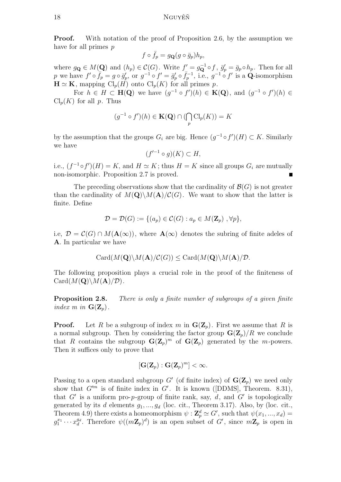**Proof.** With notation of the proof of Proposition 2.6, by the assumption we have for all primes  $p$ 

$$
f \circ \bar{f}_p = g_{\mathbf{Q}}(g \circ \bar{g}_p) h_p,
$$

where  $g_{\mathbf{Q}} \in M(\mathbf{Q})$  and  $(h_p) \in \mathcal{C}(G)$ . Write  $f'_{-} = g_{\mathbf{Q}}^{-1} \circ f$ ,  $\bar{g}'_p$  $\bar{g}_p = \bar{g}_p \circ h_p$ . Then for all p we have  $f' \circ \overline{f_p} = g \circ \overline{g'_p}$ p, or  $g^{-1} \circ f' = \bar{g}_p'$  $p'_p \circ \bar{f}_p^{-1}$ , i.e.,  $g^{-1} \circ f'$  is a  $\dot{Q}$ -isomorphism  $\mathbf{H} \simeq \mathbf{K}$ , mapping  $\text{Cl}_p(H)$  onto  $\text{Cl}_p(K)$  for all primes p.

For  $h \in H \subset \mathbf{H(Q)}$  we have  $(g^{-1} \circ f')(h) \in \mathbf{K(Q)}$ , and  $(g^{-1} \circ f')(h) \in$  $\text{Cl}_p(K)$  for all p. Thus

$$
(g^{-1} \circ f')(h) \in \mathbf{K}(\mathbf{Q}) \cap (\bigcap_{p} \mathrm{Cl}_{p}(K)) = K
$$

by the assumption that the groups  $G_i$  are big. Hence  $(g^{-1} \circ f')(H) \subset K$ . Similarly we have

$$
(f'^{-1}\circ g)(K)\subset H,
$$

i.e.,  $(f^{-1} \circ f')(H) = K$ , and  $H \simeq K$ ; thus  $H = K$  since all groups  $G_i$  are mutually non-isomorphic. Proposition 2.7 is proved.

The preceding observations show that the cardinality of  $\mathcal{B}(G)$  is not greater than the cardinality of  $M(Q)\setminus M(A)/\mathcal{C}(G)$ . We want to show that the latter is finite. Define

$$
\mathcal{D} = \mathcal{D}(G) := \{ (a_p) \in \mathcal{C}(G) : a_p \in M(\mathbf{Z}_p) , \forall p \},
$$

i.e,  $\mathcal{D} = \mathcal{C}(G) \cap M(\mathbf{A}(\infty))$ , where  $\mathbf{A}(\infty)$  denotes the subring of finite adeles of A. In particular we have

$$
Card(M(\mathbf{Q})\backslash M(\mathbf{A})/\mathcal{C}(G))\leq Card(M(\mathbf{Q})\backslash M(\mathbf{A})/\mathcal{D}.
$$

The following proposition plays a crucial role in the proof of the finiteness of  $Card(M(Q)\backslash M(A)/D)$ .

**Proposition 2.8.** There is only a finite number of subgroups of a given finite index m in  $\mathbf{G}(\mathbf{Z}_p)$ .

**Proof.** Let R be a subgroup of index m in  $\mathbf{G}(\mathbf{Z}_p)$ . First we assume that R is a normal subgroup. Then by considering the factor group  $\mathbf{G}(\mathbf{Z}_p)/R$  we conclude that R contains the subgroup  $\mathbf{G}(\mathbf{Z}_p)^m$  of  $\mathbf{G}(\mathbf{Z}_p)$  generated by the m-powers. Then it suffices only to prove that

$$
[\mathbf{G}(\mathbf{Z}_p) : \mathbf{G}(\mathbf{Z}_p)^m] < \infty.
$$

Passing to a open standard subgroup G' (of finite index) of  $\mathbf{G}(\mathbf{Z}_p)$  we need only show that  $G^{\prime m}$  is of finite index in  $G'$ . It is known ([DDMS], Theorem. 8.31), that G' is a uniform pro-p-group of finite rank, say,  $d$ , and G' is topologically generated by its d elements  $g_1, ..., g_d$  (loc. cit., Theorem 3.17). Also, by (loc. cit., Theorem 4.9) there exists a homeomorphism  $\psi : \mathbf{Z}_p^d \simeq G'$ , such that  $\psi(x_1, ..., x_d) =$  $g_1^{x_1} \cdots x_d^{y_d}$ . Therefore  $\psi((m\mathbf{Z}_p)^d)$  is an open subset of  $G'$ , since  $m\mathbf{Z}_p$  is open in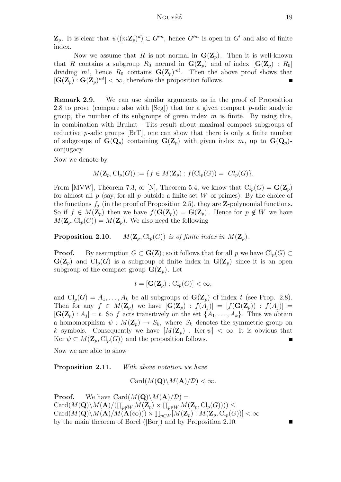$\mathbf{Z}_p$ . It is clear that  $\psi((m\mathbf{Z}_p)^d) \subset G'^m$ , hence  $G'^m$  is open in  $G'$  and also of finite index.

Now we assume that R is not normal in  $\mathbf{G}(\mathbf{Z}_p)$ . Then it is well-known that R contains a subgroup  $R_0$  normal in  $\mathbf{G}(\mathbf{Z}_p)$  and of index  $[\mathbf{G}(\mathbf{Z}_p) : R_0]$ dividing m!, hence  $R_0$  contains  $\mathbf{G}(\mathbf{Z}_p)^{m}$ . Then the above proof shows that  $[\mathbf{G}(\mathbf{Z}_p) : \mathbf{G}(\mathbf{Z}_p)^{m}] < \infty$ , therefore the proposition follows.

Remark 2.9. We can use similar arguments as in the proof of Proposition 2.8 to prove (compare also with [Seg]) that for a given compact p-adic analytic group, the number of its subgroups of given index  $m$  is finite. By using this, in combination with Bruhat - Tits result about maximal compact subgroups of reductive  $p$ -adic groups  $[BrT]$ , one can show that there is only a finite number of subgroups of  $\mathbf{G}(\mathbf{Q}_p)$  containing  $\mathbf{G}(\mathbf{Z}_p)$  with given index m, up to  $\mathbf{G}(\mathbf{Q}_p)$ . conjugacy.

Now we denote by

$$
M(\mathbf{Z}_p, Cl_p(G)) := \{ f \in M(\mathbf{Z}_p) : f(Cl_p(G)) = Cl_p(G) \}.
$$

From [MVW], Theorem 7.3, or [N], Theorem 5.4, we know that  $\text{Cl}_p(G) = \mathbf{G}(\mathbf{Z}_p)$ for almost all  $p$  (say, for all  $p$  outside a finite set  $W$  of primes). By the choice of the functions  $f_i$  (in the proof of Proposition 2.5), they are **Z**-polynomial functions. So if  $f \in M(\mathbb{Z}_p)$  then we have  $f(\mathbf{G}(\mathbb{Z}_p)) = \mathbf{G}(\mathbb{Z}_p)$ . Hence for  $p \notin W$  we have  $M(\mathbf{Z}_p, \mathrm{Cl}_p(G)) = M(\mathbf{Z}_p)$ . We also need the following

**Proposition 2.10.**  $M(\mathbf{Z}_p, \mathrm{Cl}_p(G))$  is of finite index in  $M(\mathbf{Z}_p)$ .

**Proof.** By assumption  $G \subset \mathbf{G}(\mathbf{Z})$ ; so it follows that for all p we have  $\text{Cl}_p(G) \subset$  $\mathbf{G}(\mathbf{Z}_p)$  and  $\mathrm{Cl}_p(G)$  is a subgroup of finite index in  $\mathbf{G}(\mathbf{Z}_p)$  since it is an open subgroup of the compact group  $\mathbf{G}(\mathbf{Z}_p)$ . Let

$$
t = [\mathbf{G}(\mathbf{Z}_p) : \mathrm{Cl}_p(G)] < \infty,
$$

and  $\text{Cl}_p(G) = A_1, \ldots, A_k$  be all subgroups of  $\mathbf{G}(\mathbf{Z}_p)$  of index t (see Prop. 2.8). Then for any  $f \in M(\mathbf{Z}_p)$  we have  $[\mathbf{G}(\mathbf{Z}_p) : f(A_i)] = [f(\mathbf{G}(\mathbf{Z}_p)) : f(A_i)] =$  $[\mathbf{G}(\mathbf{Z}_p) : A_j] = t$ . So f acts transitively on the set  $\{A_1, \ldots, A_k\}$ . Thus we obtain a homomorphism  $\psi : M(\mathbb{Z}_p) \to S_k$ , where  $S_k$  denotes the symmetric group on k symbols. Consequently we have  $[M(\mathbf{Z}_p) : \text{Ker } \psi] < \infty$ . It is obvious that Ker  $\psi \subset M(\mathbf{Z}_p, \mathrm{Cl}_p(G))$  and the proposition follows.

Now we are able to show

**Proposition 2.11.** With above notation we have

 $Card(M(Q)\backslash M(A)/D)<\infty$ .

**Proof.** We have Card $(M(\mathbf{Q})\backslash M(\mathbf{A})/\mathcal{D})=$  $\mathrm{Card}(M(\mathbf{Q})\backslash M(\mathbf{A})/(\prod_{p\not\in W}M(\mathbf{Z}_p)\times \prod_{p\in W}M(\mathbf{Z}_p,\mathrm{Cl}_p(G))))\leq$  $\mathrm{Card}(M(\mathbf{Q})\backslash M(\mathbf{A})/M(\mathbf{A}(\infty)))\times \prod_{p\in W}[M(\mathbf{Z}_p):M(\mathbf{Z}_p,\mathrm{Cl}_p(G))] < \infty$ by the main theorem of Borel ([Bor]) and by Proposition 2.10.